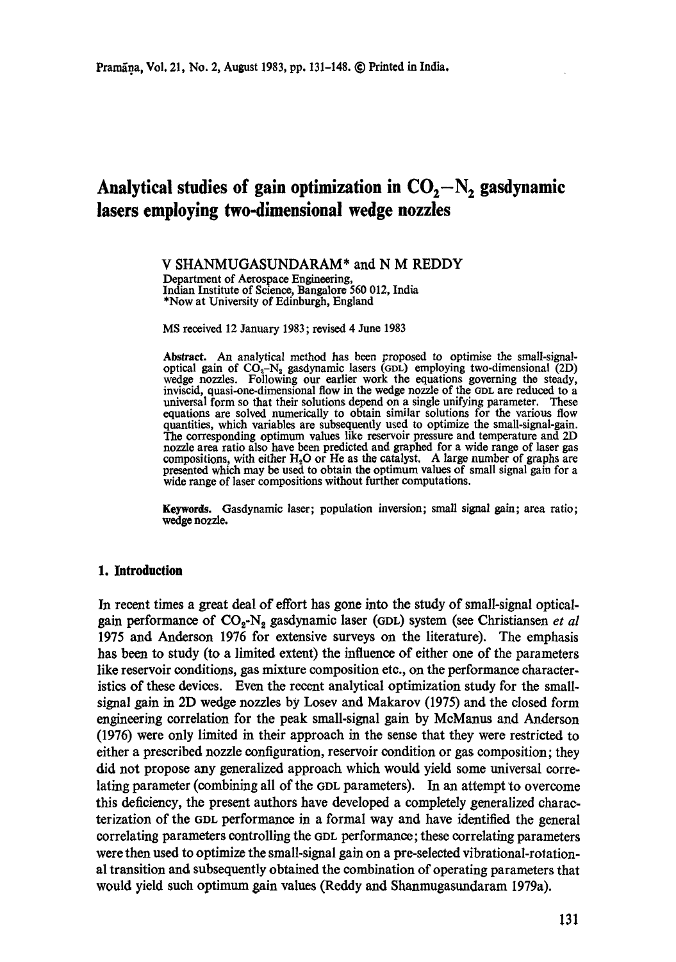# Analytical studies of gain optimization in  $CO<sub>2</sub>-N<sub>2</sub>$  gasdynamic **lasers employing two-dimensional wedge nozzles**

**V** SHANMUGASUNDARAM\* and **N M REDDY**  Department of Aerospace Engineering, Indian Institute of Science, Bangalore 560 012, India \*Now at University of Edinburgh, England

MS received 12 January 1983; revised 4 June 1983

Abstract. An analytical method has been proposed to optimise the small-signaloptical gain of  $CO_2-N_2$  gasdynamic lasers (GDL) employing two-dimensional (2D) wedge nozzles. Following our earlier work the equations governing the steady, inviscid, quasi-one-dimensional flow in the wedge nozzle of the GDL are reduced to a universal form so that their solutions depend on a single unifying parameter. These equations are solved numerically to obtain similar solutions for the various flow quantities, which variables are subsequently used to optimize the small-signal-gain. The corresponding optimum values like reservoir pressure and temperature and 2D nozzle area ratio also have been predicted and graphed for a wide range of laser gas compositions, with either  $H_2O$  or He as the catalyst. A large number of graphs are presented which may be used to obtain the optimum values of small signal gain for a wide range of laser compositions without further computations.

**Keywords.** Gasdynamic laser; population inversion; small signal gain; area ratio; wedge nozzle.

# **1. Introduction**

In recent times a great deal of effort has gone into the study of small-signal opticalgain performance of CO~-Na gasdynamic laser (GDL) system (see Christiansen *et al*  1975 and Anderson 1976 for extensive surveys on the literature). The emphasis has been to study (to a limited extent) the influence of either one of the parameters like reservoir conditions, gas mixture composition etc., on the performance characteristics of these devices. Even the recent analytical optimization study for the smallsignal gain in 2D wedge nozzles by Losev and Makarov (1975) and the closed form engineering correlation for the peak small-signal gain by McManus and Anderson (1976) were only limited in their approach in the sense that they were restricted to either a prescribed nozzle configuration, reservoir condition or gas composition; they did not propose any generalized approach which would yield some universal correlating parameter (combining all of the GDL parameters). In an attempt to overcome this deficiency, the present authors have developed a completely generalized characterization of the GDL performance in a formal way and have identified the general correlating parameters controlling the 6DL performance; these correlating parameters were then used to optimize the small-signal gain on a pre-seleeted vibrational-rotational transition and subsequently obtained the combination of operating parameters that would yield such optimum gain values (Reddy and Shanmugasundaram 1979a).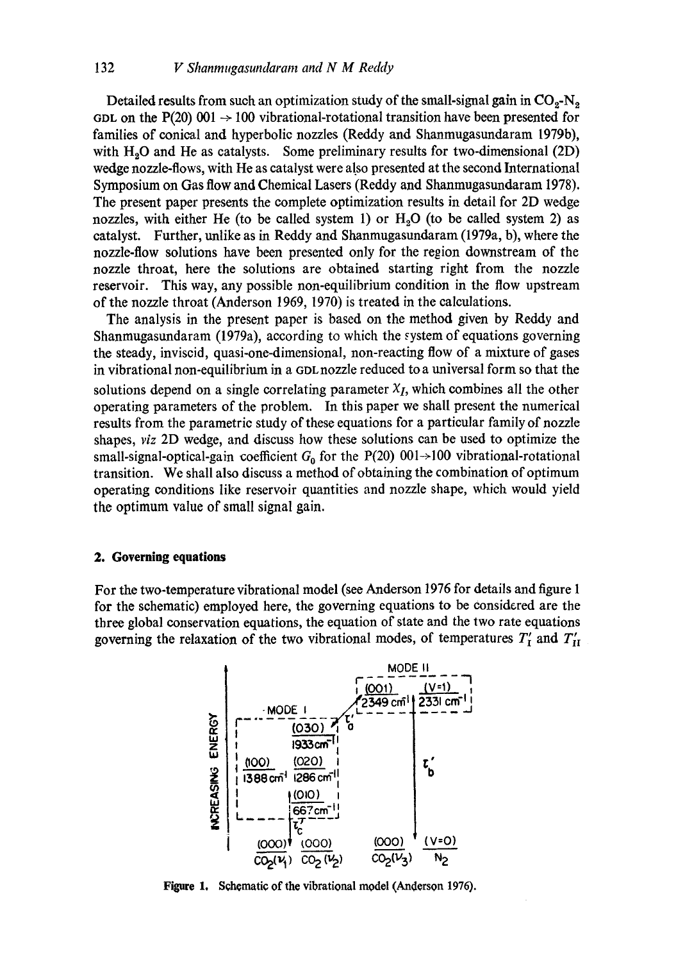Detailed results from such an optimization study of the small-signal gain in  $CO<sub>2</sub>-N<sub>2</sub>$ GDL on the P(20) 001  $\rightarrow$  100 vibrational-rotational transition have been presented for families of conical and hyperbolic nozzles (Reddy and Shanmugasundaram 1979b), with  $H<sub>2</sub>O$  and He as catalysts. Some preliminary results for two-dimensional (2D) wedge nozzle-flows, with He as catalyst were also presented at the second International Symposium on Gas flow and Chemical Lasers (Reddy and Shanmugasundaram 1978). The present paper presents the complete optimization results in detail for 2D wedge nozzles, with either He (to be called system 1) or  $H<sub>2</sub>O$  (to be called system 2) as catalyst. Further, unlike as in Reddy and Shanmugasundaram (1979a, b), where the nozzle-flow solutions have been presented only for the region downstream of the nozzle throat, here the solutions are obtained starting right from the nozzle reservoir. This way, any possible non-equilibrium condition in the flow upstream of the nozzle throat (Anderson 1969, 1970) is treated in the calculations.

The analysis in the present paper is based on the method given by Reddy and Shanmugasundaram (1979a), according to which the system of equations governing the steady, inviseid, quasi-one-dimensional, non-reacting flow of a mixture of gases in vibrational non-equilibrium in a GDL nozzle reduced to a universal form so that the solutions depend on a single correlating parameter  $X_I$ , which combines all the other operating parameters of the problem. In this paper we shall present the numerical results from the parametric study of these equations for a particular family of nozzle shapes, *viz* 2D wedge, and discuss how these solutions can be used to optimize the small-signal-optical-gain coefficient  $G_0$  for the P(20) 001->100 vibrational-rotational transition. We shall also discuss a method of obtaining the combination of optimum operating conditions like reservoir quantities and nozzle shape, which would yield the optimum value of small signal gain.

### **2. Governing equations**

For the two-temperature vibrational model (see Anderson 1976 for details and figure 1 for the schematic) employed here, the governing equations to be considered are the three global conservation equations, the equation of state and the two rate equations governing the relaxation of the two vibrational modes, of temperatures  $T'_I$  and  $T'_{II}$ 



Figure 1. Schematic of the vibrational model (Anderson 1976).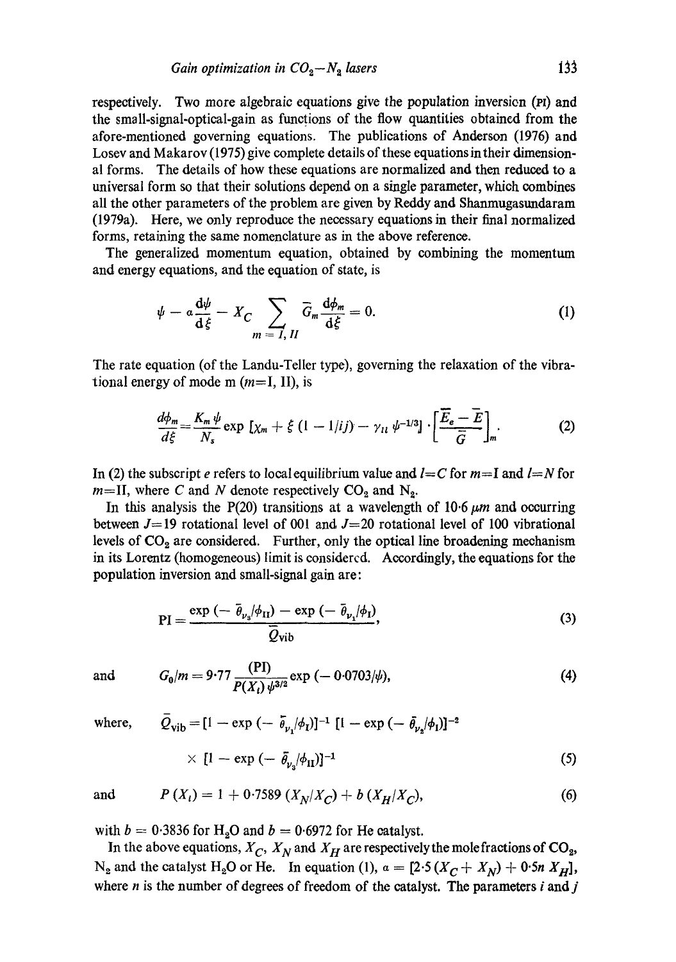respectively. Two more algebraic equations give the population inversion (PI) and the smsll-signal-optical-gain as functions of the flow quantities obtained from the afore-mentioned governing equations. The publications of Anderson (1976) and Losey and Makarov (1975) give complete details of these equations in their dimensional forms. The details of how these equations are normalized and then reduced to a universal form so that their solutions depend on a single parameter, which combines all the other parameters of the problem are given by Reddy and Shanmugastmdaram (1979a). Here, we only reproduce the necessary equations in their final normalized forms, retaining the same nomenclature as in the above reference.

The generalized momentum equation, obtained by combining the momentum and energy equations, and the equation of state, is

$$
\psi - a \frac{\mathrm{d}\psi}{\mathrm{d}\xi} - X_C \sum_{m=I, II} \overline{G}_m \frac{\mathrm{d}\phi_m}{\mathrm{d}\xi} = 0. \tag{1}
$$

The rate equation (of the Landu-Teller type), governing the relaxation of the vibrational energy of mode m  $(m=I, II)$ , is

$$
\frac{d\phi_m}{d\xi} = \frac{K_m \psi}{N_s} \exp \left[ \chi_m + \xi \left( 1 - 1/ij \right) - \gamma_{11} \psi^{-1/3} \right] \cdot \left[ \frac{\overline{E}_e - \overline{E}}{\overline{G}} \right]_m. \tag{2}
$$

In (2) the subscript *e* refers to local equilibrium value and  $l = C$  for  $m=I$  and  $l=N$  for  $m=$ II, where C and N denote respectively  $CO<sub>2</sub>$  and N<sub>2</sub>.

In this analysis the P(20) transitions at a wavelength of 10.6  $\mu$ m and occurring between  $J=19$  rotational level of 001 and  $J=20$  rotational level of 100 vibrational levels of  $CO<sub>2</sub>$  are considered. Further, only the optical line broadening mechanism in its Lorentz (homogeneous) limit is considercd. Accordingly, the equations for the population inversion and small-signal gain are:

$$
PI = \frac{\exp\left(-\bar{\theta}_{\nu_s}/\phi_{II}\right) - \exp\left(-\bar{\theta}_{\nu_s}/\phi_{I}\right)}{\bar{Q}_{\text{vib}}},\tag{3}
$$

and 
$$
G_0/m = 9.77 \frac{\text{(PI)}}{P(X_t) \psi^{3/2}} \exp(-0.0703/\psi),
$$
 (4)

where, 
$$
\bar{Q}_{\text{vib}} = [1 - \exp(-\bar{\theta}_{\nu_1}/\phi_I)]^{-1} [1 - \exp(-\bar{\theta}_{\nu_2}/\phi_I)]^{-2}
$$
  
  $\times [1 - \exp(-\bar{\theta}_{\nu_3}/\phi_{II})]^{-1}$  (5)

and 
$$
P(X_i) = 1 + 0.7589 (X_N/X_C) + b (X_H/X_C),
$$
 (6)

with  $b = 0.3836$  for H<sub>2</sub>O and  $b = 0.6972$  for He catalyst.

In the above equations,  $X_C$ ,  $X_N$  and  $X_H$  are respectively the mole fractions of  $CO_2$ , N<sub>2</sub> and the catalyst H<sub>2</sub>O or He. In equation (1),  $a = [2.5(X_C + X_N) + 0.5n X_H]$ , where  $n$  is the number of degrees of freedom of the catalyst. The parameters  $i$  and  $j$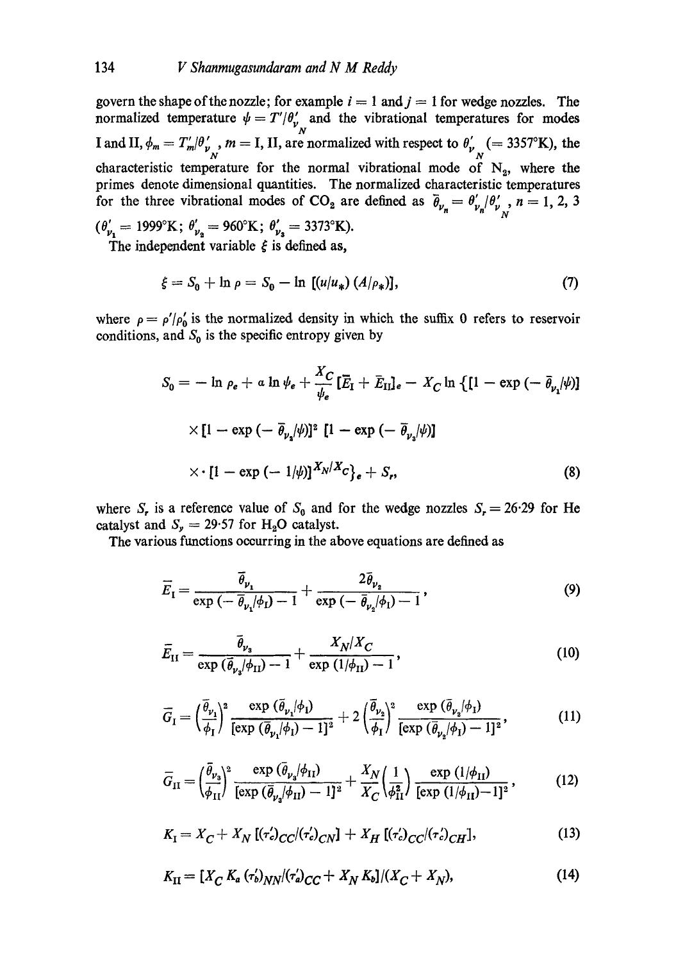govern the shape of the nozzle; for example  $i = 1$  and  $j = 1$  for wedge nozzles. The normalized temperature  $\psi = T'/\theta'$  and the vibrational temperatures for modes  $\boldsymbol{N}_{\perp}$ I and II,  $\phi_m = T'_m / \theta'_\nu$ ,  $m = I$ , II, are normalized with respect to  $\theta'_\nu$ <sub>N</sub> (= 3357°K), the characteristic temperature for the normal vibrational mode of  $N_2$ , where the primes denote dimensional quantities. The normalized characteristic temperatures for the three vibrational modes of CO<sub>2</sub> are defined as  $\bar{\theta}_{v_n} = \theta'_{v_n}/\theta'_{v_n}$ ,  $n=1,2,3$ *N*  $(\theta'_{\nu_1} = 1999^{\circ}K; \theta'_{\nu_2} = 960^{\circ}K; \theta'_{\nu_3} = 3373^{\circ}K).$ 

The independent variable  $\xi$  is defined as,

$$
\xi = S_0 + \ln \rho = S_0 - \ln \left[ (u/u_*) \left( A/\rho_* \right) \right],\tag{7}
$$

where  $\rho = \rho'/\rho'_0$  is the normalized density in which the suffix 0 refers to reservoir conditions, and  $S_0$  is the specific entropy given by

$$
S_0 = -\ln \rho_e + a \ln \psi_e + \frac{X_C}{\psi_e} \left[ \overline{E}_I + \overline{E}_{II} \right]_e - X_C \ln \left\{ \left[ 1 - \exp \left( -\overline{\theta}_{\nu_1} / \psi \right) \right] \right.
$$
  
 
$$
\times \left[ 1 - \exp \left( -\overline{\theta}_{\nu_2} / \psi \right) \right]^2 \left[ 1 - \exp \left( -\overline{\theta}_{\nu_3} / \psi \right) \right]
$$
  
 
$$
\times \left[ 1 - \exp \left( -1 / \psi \right) \right]_{\nu_1} X_N / X_C \right\}_e + S_r,
$$
 (8)

where S<sub>r</sub> is a reference value of S<sub>0</sub> and for the wedge nozzles  $S_r = 26.29$  for He catalyst and  $S_y = 29.57$  for H<sub>2</sub>O catalyst.

The various functions occurring in the above equations are defined as

$$
\overline{E}_1 = \frac{\overline{\theta}_{\nu_1}}{\exp\left(-\overline{\theta}_{\nu_1}/\phi_1\right) - 1} + \frac{2\overline{\theta}_{\nu_2}}{\exp\left(-\overline{\theta}_{\nu_2}/\phi_1\right) - 1},\tag{9}
$$

$$
\overline{E}_{\rm II} = \frac{\overline{\theta}_{\nu_{\rm s}}}{\exp\left(\overline{\theta}_{\nu_{\rm s}}/\phi_{\rm II}\right) - 1} + \frac{X_N/X_C}{\exp\left(\frac{1}{\phi_{\rm II}}\right) - 1},\tag{10}
$$

$$
\overline{G}_I = \left(\frac{\overline{\theta}_{\nu_1}}{\phi_I}\right)^2 \frac{\exp\left(\overline{\theta}_{\nu_1}/\phi_I\right)}{\left[\exp\left(\overline{\theta}_{\nu_1}/\phi_I\right) - 1\right]^2} + 2\left(\frac{\overline{\theta}_{\nu_2}}{\phi_I}\right)^2 \frac{\exp\left(\overline{\theta}_{\nu_2}/\phi_I\right)}{\left[\exp\left(\overline{\theta}_{\nu_2}/\phi_I\right) - 1\right]^2},\tag{11}
$$

$$
\overline{G}_{II} = \left(\frac{\overline{\theta}_{\nu_3}}{\phi_{II}}\right)^2 \frac{\exp\left(\overline{\theta}_{\nu_3}/\phi_{II}\right)}{\left[\exp\left(\overline{\theta}_{\nu_3}/\phi_{II}\right) - 1\right]^2} + \frac{X_N}{X_C} \left(\frac{1}{\phi_{II}^2}\right) \frac{\exp\left(1/\phi_{II}\right)}{\left[\exp\left(1/\phi_{II}\right) - 1\right]^2},\tag{12}
$$

$$
K_{\rm I} = X_C + X_N \left[ (\tau_c')_{CC} / (\tau_c')_{CN} \right] + X_H \left[ (\tau_c')_{CC} / (\tau_c')_{CH} \right], \tag{13}
$$

$$
K_{\rm II} = [X_C K_a (r'_b)_{NN} / (r'_a)_{CC} + X_N K_b] / (X_C + X_N), \tag{14}
$$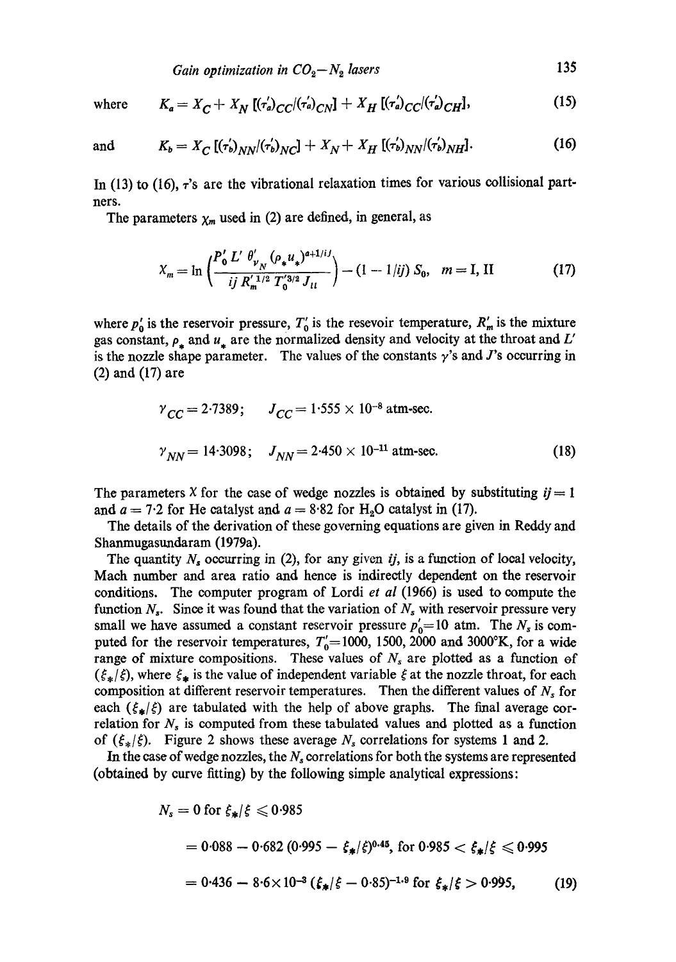*Gain optimization in*  $CO_2 - N_2$  *lasers* 135

where 
$$
K_a = X_C + X_N [(\tau'_a)_{CC}/(\tau'_a)_{CN}] + X_H [(\tau'_a)_{CC}/(\tau'_a)_{CH}]
$$
, (15)

and 
$$
K_b = X_C [(r'_b)_{NN}/(r'_b)_{NC}] + X_N + X_H [(r'_b)_{NN}/(r'_b)_{NH}].
$$
 (16)

In (13) to (16),  $\tau$ 's are the vibrational relaxation times for various collisional partners.

The parameters  $\chi_m$  used in (2) are defined, in general, as

$$
X_m = \ln \left( \frac{P'_0 L' \ \theta'_{\nu_N} (\rho_* u_*)^{a+1/i}}{ij \ R'_m^{1/2} T'_0^{3/2} J_{tt}} \right) - (1 - 1/ij) \ S_0, \quad m = I, \text{ II}
$$
 (17)

where  $p_0$  is the reservoir pressure,  $T_0$  is the resevoir temperature,  $R'_m$  is the mixture gas constant,  $\rho_*$  and  $u_*$  are the normalized density and velocity at the throat and L' is the nozzle shape parameter. The values of the constants  $\gamma$ 's and J's occurring in (2) and (17) are

$$
\gamma_{CC} = 2.7389; \qquad J_{CC} = 1.555 \times 10^{-8} \text{ atm-sec.}
$$
  

$$
\gamma_{NN} = 14.3098; \qquad J_{NN} = 2.450 \times 10^{-11} \text{ atm-sec.}
$$
 (18)

The parameters X for the case of wedge nozzles is obtained by substituting  $i = 1$ and  $a = 7.2$  for He catalyst and  $a = 8.82$  for H<sub>2</sub>O catalyst in (17).

The details of the derivation of these governing equations are given in Reddy and Shanmugasundaram (1979a).

The quantity  $N_s$  occurring in (2), for any given *ij*, is a function of local velocity, Math number and area ratio and hence is indirectly dependent on the reservoir conditions. The computer program of Lordi *et al* (1966) is used to compute the function  $N_s$ . Since it was found that the variation of  $N_s$  with reservoir pressure very small we have assumed a constant reservoir pressure  $p'_0$ =10 atm. The  $N_s$  is computed for the reservoir temperatures,  $T_0=1000$ , 1500, 2000 and 3000°K, for a wide range of mixture compositions. These values of  $N<sub>s</sub>$  are plotted as a function of  $(\xi_*/\xi)$ , where  $\xi_*$  is the value of independent variable  $\xi$  at the nozzle throat, for each composition at different reservoir temperatures. Then the different values of  $N_s$  for each  $(\xi_*/\xi)$  are tabulated with the help of above graphs. The final average correlation for  $N_s$  is computed from these tabulated values and plotted as a function of  $({\xi_*}/{\xi})$ . Figure 2 shows these average  $N_s$  correlations for systems 1 and 2.

In the case of wedge nozzles, the  $N_s$  correlations for both the systems are represented (obtained by curve fitting) by the following simple analytical expressions:

$$
N_s = 0 \text{ for } \xi_*/\xi \le 0.985
$$
  
= 0.088 - 0.682 (0.995 -  $\xi_*/\xi$ )<sup>0.45</sup>, for 0.985  $<\xi_*/\xi \le 0.995$   
= 0.436 - 8.6 × 10<sup>-3</sup> ( $\xi_*/\xi$  - 0.85)<sup>-1.9</sup> for  $\xi_*/\xi$  > 0.995, (19)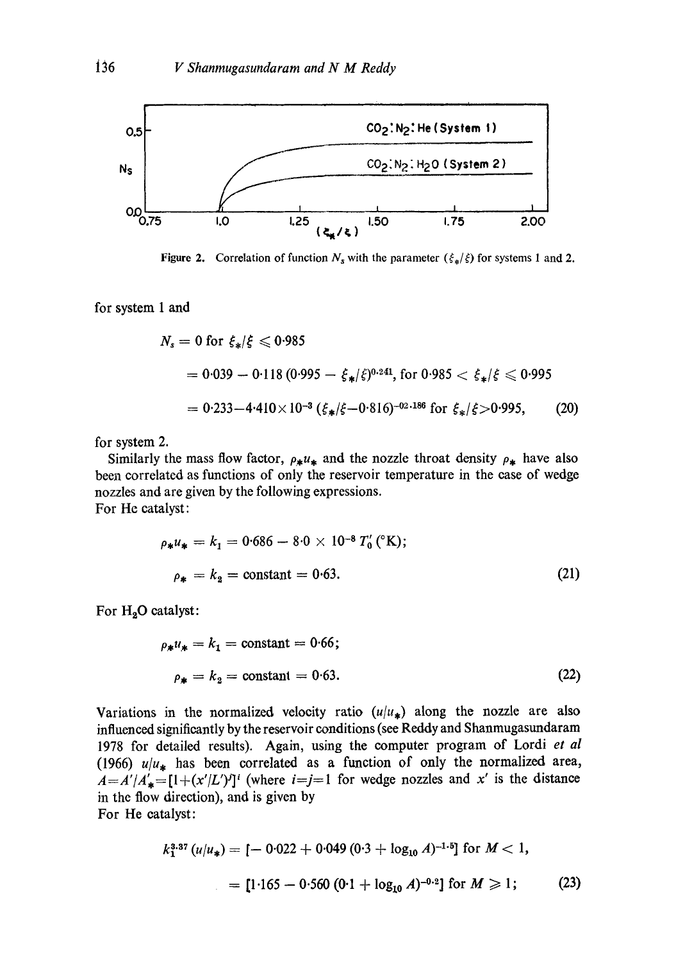

Figure 2. Correlation of function  $N_s$  with the parameter  $(\xi_*/\xi)$  for systems 1 and 2.

for system 1 and

$$
N_s = 0 \text{ for } \xi_*/\xi \leqslant 0.985
$$
\n
$$
= 0.039 - 0.118 \left(0.995 - \xi_*/\xi\right)^{0.241}, \text{ for } 0.985 < \xi_*/\xi \leqslant 0.995
$$
\n
$$
= 0.233 - 4.410 \times 10^{-3} \left(\xi_*/\xi - 0.816\right)^{-0.2186} \text{ for } \xi_*/\xi > 0.995, \qquad (20)
$$

for system 2.

Similarly the mass flow factor,  $\rho_* u_*$  and the nozzle throat density  $\rho_*$  have also been correlated as functions of only the reservoir temperature in the ease of wedge nozzles and are given by the following expressions. For He catalyst:

$$
\rho_* u_* = k_1 = 0.686 - 8.0 \times 10^{-8} T'_0 \, (^\circ\text{K});
$$
\n
$$
\rho_* = k_2 = \text{constant} = 0.63. \tag{21}
$$

For  $H_2O$  catalyst:

$$
\rho_* u_* = k_1 = \text{constant} = 0.66; \n\rho_* = k_2 = \text{constant} = 0.63.
$$
\n(22)

Variations in the normalized velocity ratio  $(u/u_*)$  along the nozzle are also influenced significantly by the reservoir conditions (see Reddy and Shanmugasundaram 1978 for detailed results). Again, using the computer program of Lordi *et al*  (1966)  $u/u_*$  has been correlated as a function of only the normalized area,  $A=A'/A'_{*}=[1+(x'/L')<sup>j</sup>]$ <sup>*i*</sup> (where  $i=j=1$  for wedge nozzles and x' is the distance in the flow direction), and is given by

For He catalyst:

$$
k_1^{3.37} (u/u_*) = [-0.022 + 0.049 (0.3 + \log_{10} A)^{-1.5}] \text{ for } M < 1,
$$
  
= [1.165 - 0.560 (0.1 + \log\_{10} A)^{-0.2}] for  $M \ge 1$ ; (23)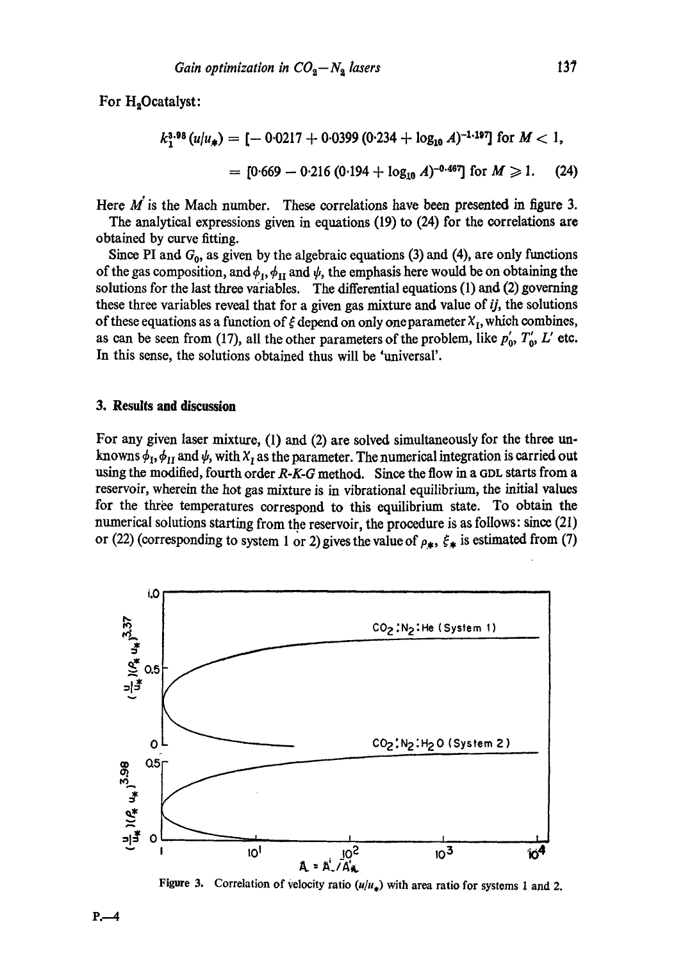For H<sub>2</sub>Ocatalyst:

$$
k_1^{3.98} (u/u_*) = [-0.0217 + 0.0399 (0.234 + \log_{10} A)^{-1.197}] \text{ for } M < 1,
$$
  
= [0.669 - 0.216 (0.194 + \log\_{10} A)^{-0.467}] for  $M \ge 1$ . (24)

Here  $M$  is the Mach number. These correlations have been presented in figure 3.

The analytical expressions given in equations (19) to (24) for the correlations are obtained by curve fitting.

Since PI and  $G_0$ , as given by the algebraic equations (3) and (4), are only functions of the gas composition, and  $\phi_I$ ,  $\phi_{II}$  and  $\psi$ , the emphasis here would be on obtaining the solutions for the last three variables. The differential equations (1) and (2) governing these three variables reveal that for a given gas mixture and value of *ij,* the solutions of these equations as a function of  $\xi$  depend on only one parameter  $X_I$ , which combines, as can be seen from (17), all the other parameters of the problem, like  $p'_0$ ,  $T'_0$ ,  $L'$  etc. In this sense, the solutions obtained thus will be 'universal'.

# **3. Results and discussion**

For any given laser mixture, (1) and (2) are solved simultaneously for the three unknowns  $\phi_1$ ,  $\phi_{II}$  and  $\psi$ , with  $X_I$  as the parameter. The numerical integration is carried out using the modified, fourth order *R-K-G* method. Since the flow in a GDL starts from a reservoir, wherein the hot gas mixture is in vibrational equilibrium, the initial values for the three temperatures correspond to this equilibrium state. To obtain the numerical solutions starting from the reservoir, the procedure is as follows: since (21) or (22) (corresponding to system 1 or 2) gives the value of  $\rho_{*}$ ,  $\xi_{*}$  is estimated from (7)



Figure 3. Correlation of velocity ratio  $(u/u_*)$  with area ratio for systems 1 and 2.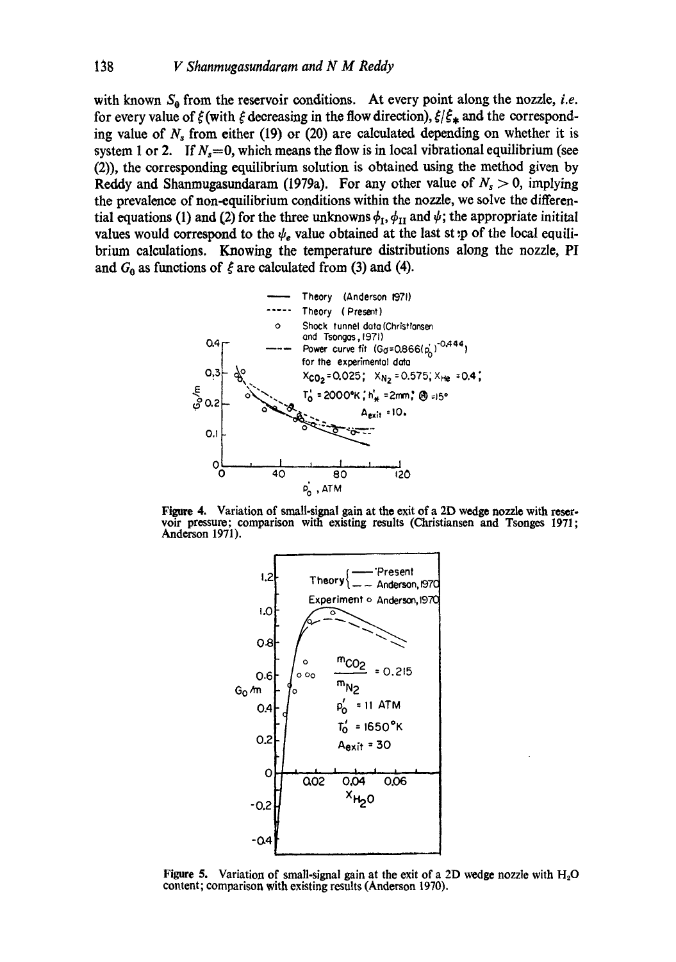with known  $S_0$  from the reservoir conditions. At every point along the nozzle, *i.e.* for every value of  $\zeta$  (with  $\zeta$  decreasing in the flow direction),  $\zeta/\zeta_*$  and the corresponding value of  $N_s$  from either (19) or (20) are calculated depending on whether it is system 1 or 2. If  $N_s=0$ , which means the flow is in local vibrational equilibrium (see (2)), the corresponding equilibrium solution is obtained using the method given by Reddy and Shanmugasundaram (1979a). For any other value of  $N_s > 0$ , implying the prevalence of non-equilibrium conditions within the nozzle, we solve the differential equations (1) and (2) for the three unknowns  $\phi_I$ ,  $\phi_{II}$  and  $\psi$ ; the appropriate initital values would correspond to the  $\psi_e$  value obtained at the last st :p of the local equilibrium calculations. Knowing the temperature distributions along the nozzle, PI and  $G_0$  as functions of  $\zeta$  are calculated from (3) and (4).



Figure 4. Variation of small-signal gain at the exit of a 2D wedge nozzle with resetvoir pressure; comparison with existing results (Christianson and Tsonges 1971; Anderson 1971).



Figure 5. Variation of small-signal gain at the exit of a 2D wedge nozzle with  $H_2O$ content; comparison with existing results (Anderson 1970).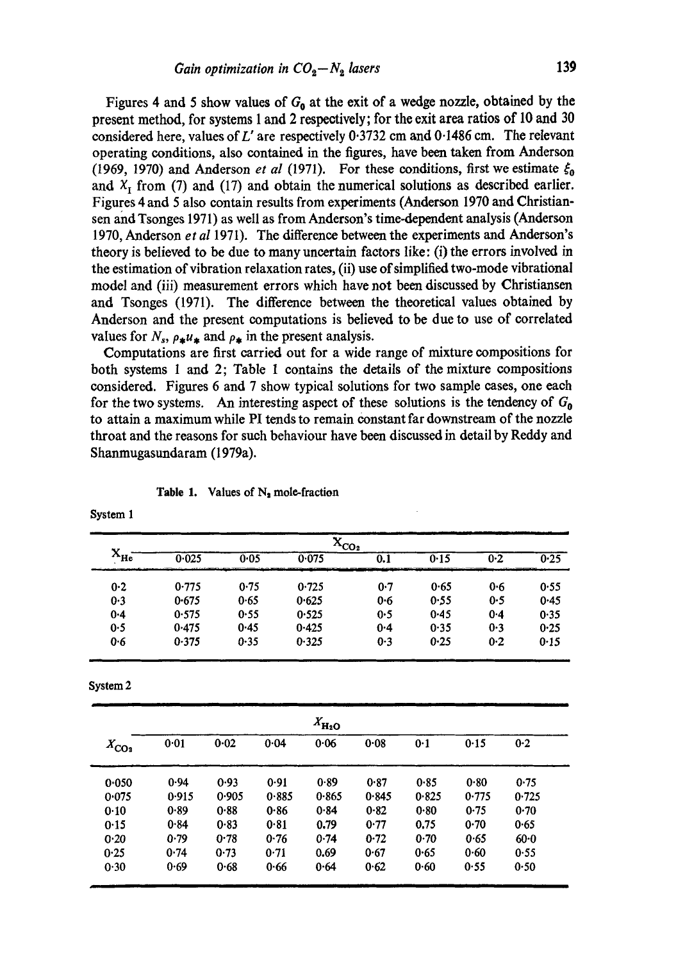Figures 4 and 5 show values of  $G_0$  at the exit of a wedge nozzle, obtained by the present method, for systems 1 and 2 respectively; for the exit area ratios of 10 and 30 considered here, values of L' are respectively 0.3732 cm and 0.1486 cm. The relevant operating conditions, also contained in the figures, have been taken from Anderson (1969, 1970) and Anderson *et al* (1971). For these conditions, first we estimate  $\xi_0$ and  $X_I$  from (7) and (17) and obtain the numerical solutions as described earlier. Figures 4 and 5 also contain results from experiments (Anderson 1970 and Christiansen and Tsonges 1971) as well as from Anderson's time-dependent analysis (Anderson 1970, Anderson *et al* 1971). The difference between the experiments and Anderson's theory is believed to be due to many uncertain factors like: (i) the errors involved in the estimation of vibration relaxation rates, (ii) use of simplified two-mode vibrational model and (iii) measurement errors which have not been discussed by Christiansen and Tsonges (1971). The difference between the theoretical values obtained by Anderson and the present computations is believed to be due to use of correlated values for  $N_s$ ,  $\rho_* u_*$  and  $\rho_*$  in the present analysis.

Computations are first carried out for a wide range of mixture compositions for both systems 1 and 2; Table 1 contains the details of the mixture compositions considered. Figures 6 and 7 show typical solutions for two sample cases, one each for the two systems. An interesting aspect of these solutions is the tendency of  $G_0$ to attain a maximum while PI tends to remain constant far downstream of the nozzle throat and the reasons for such behaviour have been discussed in detail by Reddy and Shanmugasundaram (1979a).

|              | ۰.,<br>$\alpha$ <sub>co</sub> <sub>2</sub> |      |       |     |             |         |      |  |  |  |
|--------------|--------------------------------------------|------|-------|-----|-------------|---------|------|--|--|--|
| $X_{\rm He}$ | 0.025                                      | 0.05 | 0.075 | 0.1 | 0.15<br>___ | 0.2     | 0.25 |  |  |  |
| 0.2          | 0.775                                      | 0.75 | 0.725 | 0·7 | 0.65        | 0.6     | 0.55 |  |  |  |
| 0.3          | 0.675                                      | 0.65 | 0.625 | 0.6 | 0.55        | 0.5     | 0.45 |  |  |  |
| $0 - 4$      | 0.575                                      | 0.55 | 0.525 | 0.5 | 0.45        | $0 - 4$ | 0.35 |  |  |  |
| 0.5          | 0.475                                      | 0.45 | 0.425 | 0.4 | 0.35        | 0.3     | 0.25 |  |  |  |
| 0.6          | 0.375                                      | 0.35 | 0.325 | 0.3 | 0.25        | 0.2     | 0.15 |  |  |  |

**Table 1.** Values of  $N_2$  mole-fraction

System 2

| $X_{\rm H_2O}$ |       |          |       |       |       |       |       |          |  |  |  |
|----------------|-------|----------|-------|-------|-------|-------|-------|----------|--|--|--|
| $X_{CO_2}$     | 0.01  | $0 - 02$ | 0.04  | 0.06  | 0.08  | 0.1   | 0.15  | 0.2      |  |  |  |
| 0.050          | 0.94  | 0.93     | 0.91  | 0.89  | 0.87  | 0.85  | 0.80  | 0.75     |  |  |  |
| 0.075          | 0.915 | 0.905    | 0.885 | 0.865 | 0.845 | 0.825 | 0.775 | 0.725    |  |  |  |
| 0.10           | 0.89  | 0.88     | 0.86  | 0.84  | 0.82  | 0.80  | 0.75  | 0.70     |  |  |  |
| 0.15           | 0.84  | 0.83     | 0.81  | 0.79  | 0.77  | 0.75  | 0.70  | 0.65     |  |  |  |
| 0.20           | 0.79  | 0.78     | 0.76  | 0.74  | 0.72  | 0.70  | 0.65  | $60 - 0$ |  |  |  |
| 0.25           | 0.74  | 0.73     | 0.71  | 0.69  | 0.67  | 0.65  | 0.60  | 0.55     |  |  |  |
| 0.30           | 0.69  | 0.68     | 0.66  | 0.64  | 0.62  | 0.60  | 0.55  | 0.50     |  |  |  |

System 1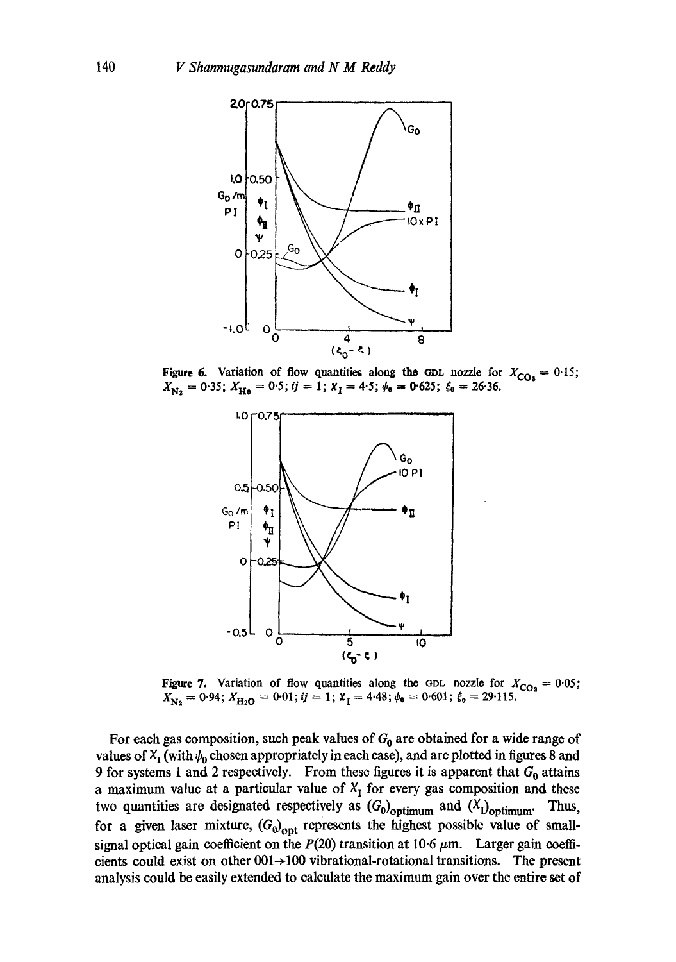

Figure 6. Variation of flow quantities along the GDL nozzle for  $X_{CQ_3} = 0.15$ ;  $X_{\mathbf{N}_2} = 0.35; X_{\mathbf{H}e} = 0.5; i j = 1; X_I = 4.5; \psi_0 = 0.625; \xi_0 = 26.36.$ 



Figure 7. Variation of flow quantities along the GDL nozzle for  $X_{CO_2} = 0.05$ ;  $X_{\text{N}_2} = 0.94; X_{\text{H}_2\text{O}} = 0.01; i j = 1; X_I = 4.48; \psi_0 = 0.601; \xi_0 = 29.115.$ 

For each gas composition, such peak values of  $G_0$  are obtained for a wide range of values of  $X_I$  (with  $\psi_0$  chosen appropriately in each case), and are plotted in figures 8 and 9 for systems 1 and 2 respectively. From these figures it is apparent that  $G_0$  attains a maximum value at a particular value of  $X_I$  for every gas composition and these two quantities are designated respectively as  $(G_0)_{\text{optimum}}$  and  $(X_1)_{\text{optimum}}$ . Thus, for a given laser mixture,  $(G_0)_{\text{opt}}$  represents the highest possible value of smallsignal optical gain coefficient on the  $P(20)$  transition at 10.6  $\mu$ m. Larger gain coefficients could exist on other  $001 \rightarrow 100$  vibrational-rotational transitions. The present analysis could be easily extended to calculate the maximum gain over the entire set of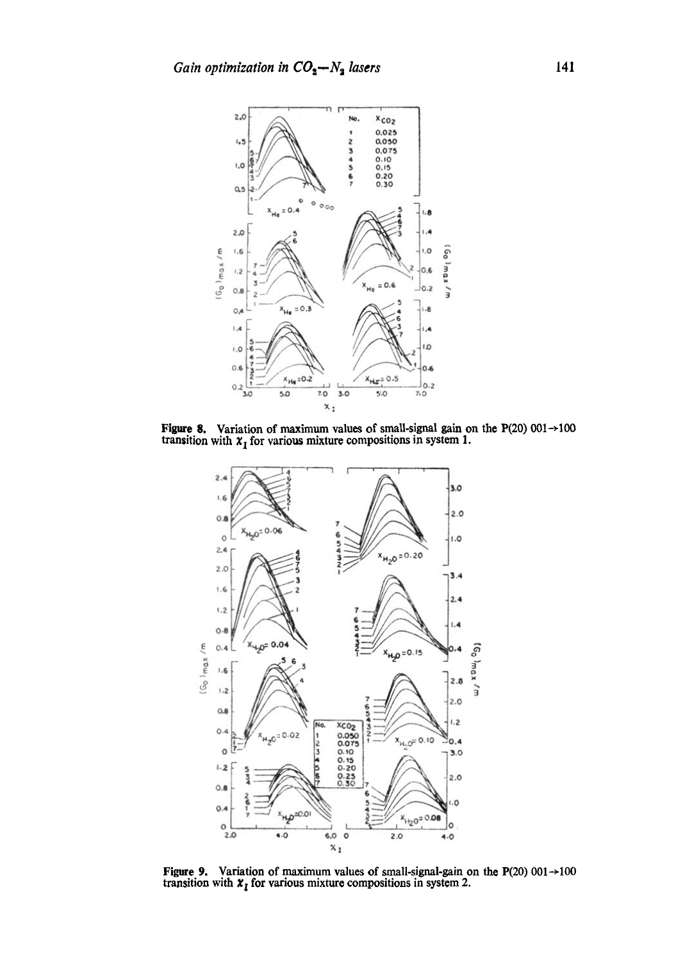

**Figure 8.** Variation of maximum values of small-signal gain on the P(20) 001 $\rightarrow$ 100 transition with  $x_1$  for various mixture compositions in system 1.



Figure 9. Variation of maximum values of small-signal-gain on the P(20) 001  $\rightarrow$  100 transition with  $x_1$  for various mixture compositions in system 2.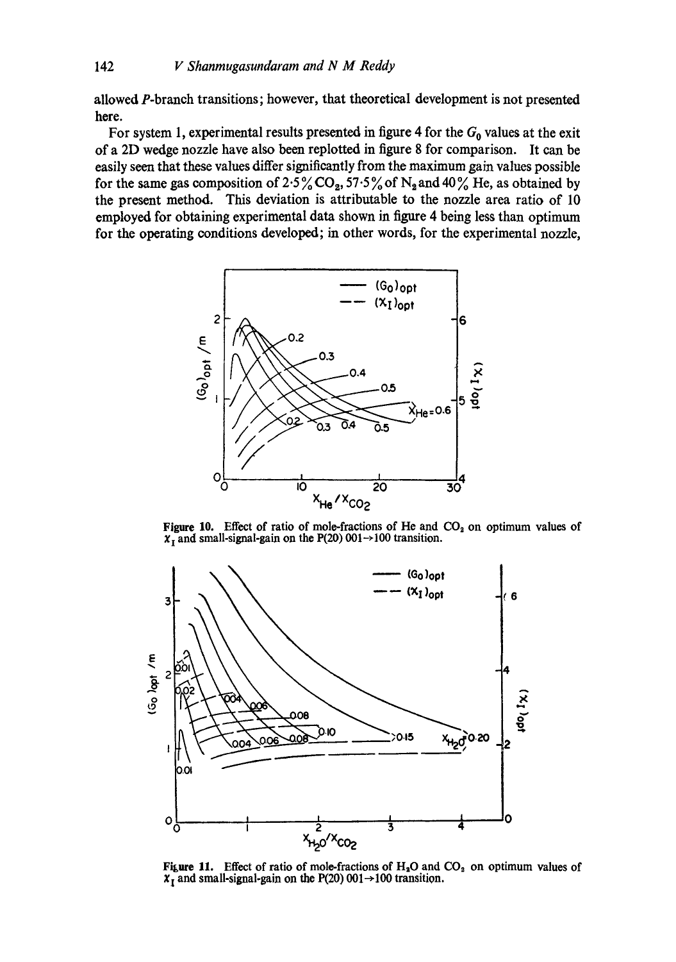allowed P-branch transitions; however, that theoretical development is not presented here.

For system 1, experimental results presented in figure 4 for the  $G_0$  values at the exit of a 2D wedge nozzle have also been replotted in figure 8 for comparison. It can be easily seen that these values differ significantly from the maximum gain values possible for the same gas composition of 2.5%  $CO<sub>2</sub>$ , 57.5% of N<sub>2</sub> and 40% He, as obtained by the present method. This deviation is attributable to the nozzle area ratio of l0 employed for obtaining experimental data shown in figure 4 being less than optimum for the operating conditions developed; in other words, for the experimental nozzle,



Figure 10. Effect of ratio of mole-fractions of He and  $CO<sub>2</sub>$  on optimum values of  $\chi_{\text{I}}$  and small-signal-gain on the P(20) 001  $\rightarrow$  100 transition.



**Figure 11.** Effect of ratio of mole-fractions of  $H_2O$  and  $CO_2$  on optimum values of  $x_t$  and small-signal-gain on the P(20) 001  $\rightarrow$  100 transition.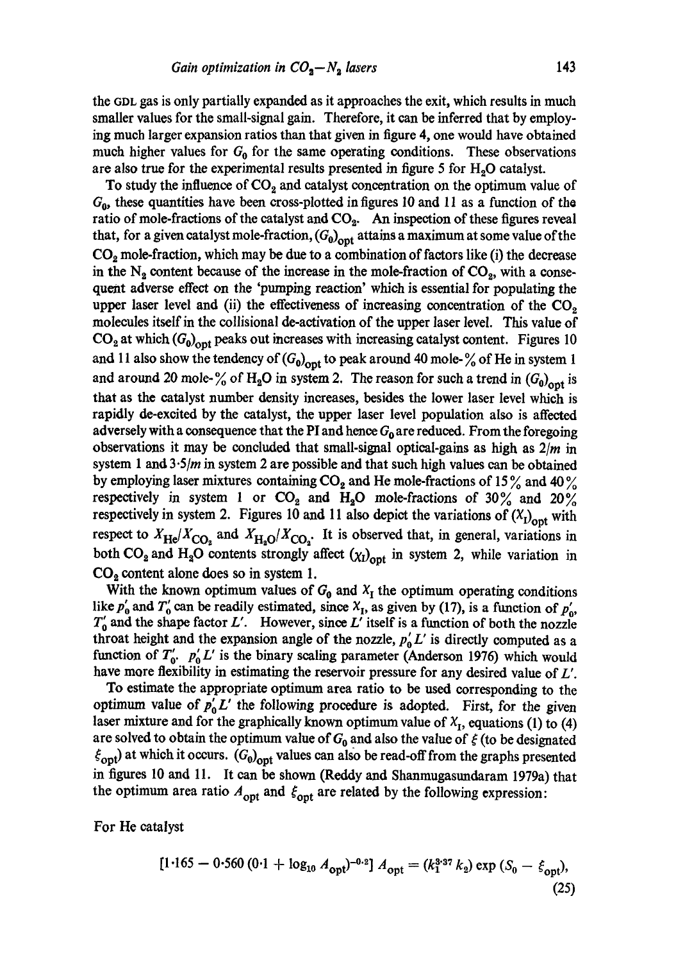the GDL gas is only partially expanded as it approaches the exit, which results in much smaller values for the small-signal gain. Therefore, it can be inferred that by employing much larger expansion ratios than that given in figure 4, one would have obtained much higher values for  $G_0$  for the same operating conditions. These observations are also true for the experimental results presented in figure 5 for  $H_2O$  catalyst.

To study the influence of  $CO<sub>2</sub>$  and catalyst concentration on the optimum value of *G o,* these quantities have been cross-plotted in figures 10 and 11 as a function of the ratio of mole-fractions of the catalyst and  $CO<sub>2</sub>$ . An inspection of these figures reveal that, for a given catalyst mole-fraction,  $(G_0)_{\text{ont}}$  attains a maximum at some value of the  $CO<sub>2</sub>$  mole-fraction, which may be due to a combination of factors like (i) the decrease in the  $N_2$  content because of the increase in the mole-fraction of  $CO_2$ , with a consequent adverse effect on the 'pumping reaction' which is essential for populating the upper laser level and (ii) the effectiveness of increasing concentration of the  $CO<sub>2</sub>$ molecules itself in the collisional de-activation of the upper laser level. This value of  $CO<sub>2</sub>$  at which  $(G<sub>0</sub>)<sub>opt</sub>$  peaks out increases with increasing catalyst content. Figures 10 and 11 also show the tendency of  $(G_0)_{\text{opt}}$  to peak around 40 mole- $\frac{9}{6}$  of He in system 1 and around 20 mole- $\%$  of H<sub>2</sub>O in system 2. The reason for such a trend in  $(G_0)_{\text{opt}}$  is that as the catalyst number density increases, besides the lower laser level which is rapidly de-excited by the catalyst, the upper laser level population also is affected adversely with a consequence that the PI and hence  $G_0$  are reduced. From the foregoing observations it may be concluded that small-signal optical-gains as high as *2/m* in system 1 and  $3.5/m$  in system 2 are possible and that such high values can be obtained by employing laser mixtures containing  $CO<sub>2</sub>$  and He mole-fractions of 15% and 40% respectively in system 1 or  $CO_2$  and  $H_2O$  mole-fractions of 30% and 20% respectively in system 2. Figures 10 and 11 also depict the variations of  $(X<sub>1</sub>)<sub>opt</sub>$  with respect to  $X_{\text{He}}/X_{\text{CO}_2}$  and  $X_{\text{H}_3\text{O}}/X_{\text{CO}_3}$ . It is observed that, in general, variations in both CO<sub>2</sub> and H<sub>2</sub>O contents strongly affect  $(\chi_l)_{\text{opt}}$  in system 2, while variation in  $CO<sub>2</sub>$  content alone does so in system 1.

With the known optimum values of  $G_0$  and  $X_I$  the optimum operating conditions like  $p'_0$  and  $T'_0$  can be readily estimated, since  $X_I$ , as given by (17), is a function of  $p'_0$ ,  $T_0'$  and the shape factor L'. However, since L' itself is a function of both the nozzle throat height and the expansion angle of the nozzle,  $p_0^{\prime} L^{\prime}$  is directly computed as a function of  $T_0'$ .  $p_0' L'$  is the binary scaling parameter (Anderson 1976) which would have more flexibility in estimating the reservoir pressure for any desired value of L'.

To estimate the appropriate optimum area ratio to be used corresponding to the optimum value of  $p'_0 L'$  the following procedure is adopted. First, for the given laser mixture and for the graphically known optimum value of  $X_I$ , equations (1) to (4) are solved to obtain the optimum value of  $G_0$  and also the value of  $\xi$  (to be designated  $\xi_{\text{opt}}$ ) at which it occurs.  $(G_0)_{\text{opt}}$  values can also be read-off from the graphs presented in figures 10 and 11. It can be shown (Reddy and Shanmugasundaram 1979a) that the optimum area ratio  $A_{\text{opt}}$  and  $\xi_{\text{opt}}$  are related by the following expression:

For He catalyst

$$
[1.165 - 0.560 (0.1 + \log_{10} A_{\rm opt})^{-0.2}] A_{\rm opt} = (k_1^{3.37} k_2) \exp (S_0 - \xi_{\rm opt}),
$$
\n(25)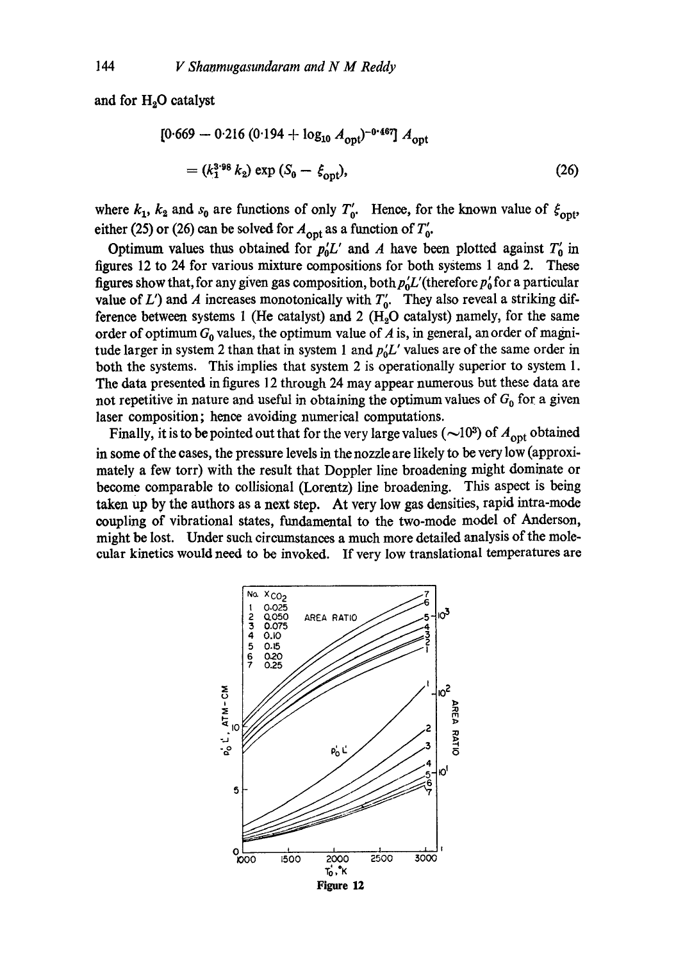and for  $H_2O$  catalyst

$$
[0.669 - 0.216 (0.194 + \log_{10} A_{\text{opt}})^{-0.467}] A_{\text{opt}}
$$
  
=  $(k_1^{3.98} k_2) \exp (S_0 - \xi_{\text{opt}}),$  (26)

where  $k_1$ ,  $k_2$  and  $s_0$  are functions of only  $T'_0$ . Hence, for the known value of  $\xi_{\text{out}}$ , either (25) or (26) can be solved for  $A_{\text{opt}}$  as a function of  $T'_0$ .

Optimum values thus obtained for  $p_0'L'$  and A have been plotted against  $T'_0$  in figures 12 to 24 for various mixture compositions for both systems 1 and 2. These figures show that, for any given gas composition, both  $p'_0L'$  (therefore  $p'_0$  for a particular value of *L'*) and *A* increases monotonically with  $T_0'$ . They also reveal a striking difference between systems 1 (He catalyst) and 2 ( $H_2O$  catalyst) namely, for the same order of optimum  $G_0$  values, the optimum value of A is, in general, an order of magnitude larger in system 2 than that in system 1 and  $p_0'L'$  values are of the same order in both the systems. This implies that system 2 is operationally superior to system 1. The data presented in figures 12 through 24 may appear numerous but these data are not repetitive in nature and useful in obtaining the optimum values of  $G_0$  for a given laser composition; hence avoiding numerical computations.

Finally, it is to be pointed out that for the very large values ( $\sim$ 10<sup>3</sup>) of  $A_{\text{opt}}$  obtained in some of the cases, the pressure levels in the nozzle are likely to be very low (approximately a few torr) with the result that Doppler line broadening might dominate or become comparable to collisional (Lorentz) line broadening. This aspect is being taken up by the authors as a next step. At very low gas densities, rapid intra-mode coupling of vibrational states, fundamental to the two-mode model of Anderson, might be lost. Under such circumstances a much more detailed analysis of the molecular kinetics would need to be invoked. If very low translational temperatures are

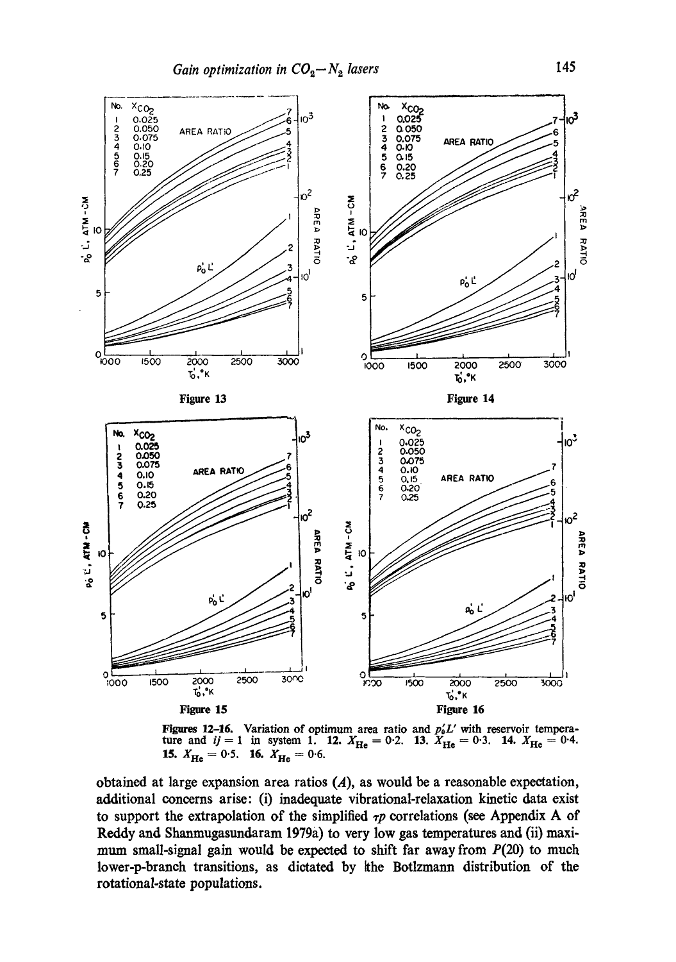

Figures 12-16. Variation of optimum area ratio and  $p'_0L'$  with reservoir temperature and  $ij = 1$  in system 1. 12.  $X_{\text{He}} = 0.2$ . 13.  $X_{\text{He}} = 0.3$ . 14.  $X_{\text{He}} = 0.4$ .<br>15.  $X_{\text{He}} = 0.5$ . 16.  $X_{\text{He}} = 0.6$ .

obtained at large expansion area ratios  $(A)$ , as would be a reasonable expectation, additional concerns arise: (i) inadequate vibrational-relaxation kinetic data exist to support the extrapolation of the simplified  $\tau p$  correlations (see Appendix A of Reddy and Shanmugasundaram 1979a) to very low gas temperatures and (ii) maximum small-signal gain would be expected to shift far away from  $P(20)$  to much lower-p-branch transitions, as dictated by the Botlzmann distribution of the rotational-state populations.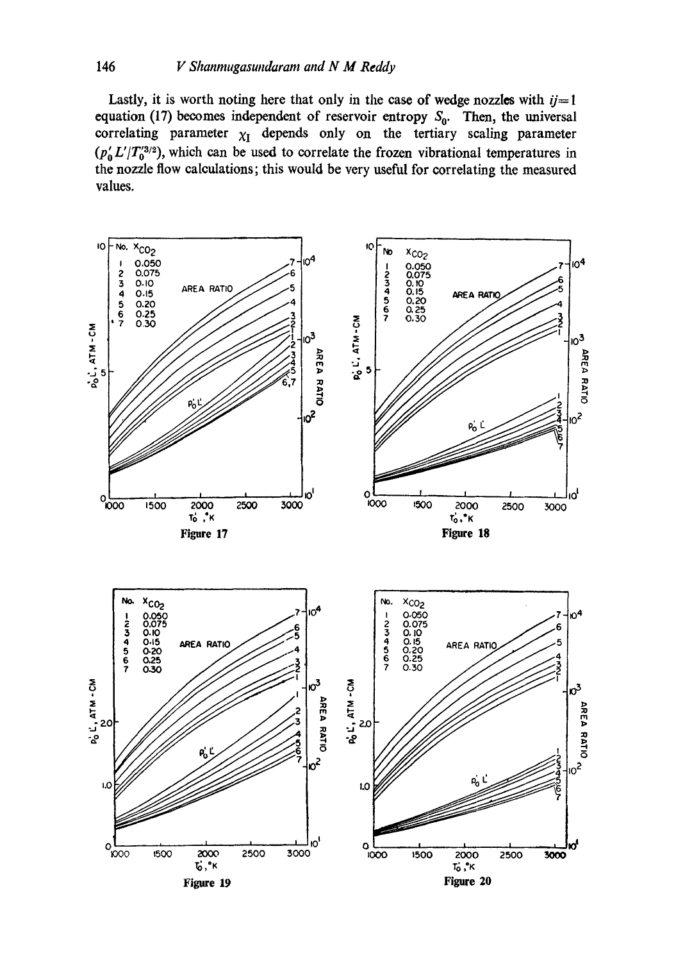#### 146 V Shanmugasundaram and N M Reddy

Lastly, it is worth noting here that only in the case of wedge nozzles with  $ij=1$ equation (17) becomes independent of reservoir entropy  $S_0$ . Then, the universal correlating parameter  $\chi_I$  depends only on the tertiary scaling parameter  $(p'_a L' / T_0'^{3/2})$ , which can be used to correlate the frozen vibrational temperatures in the nozzle flow calculations; this would be very useful for correlating the measured values.

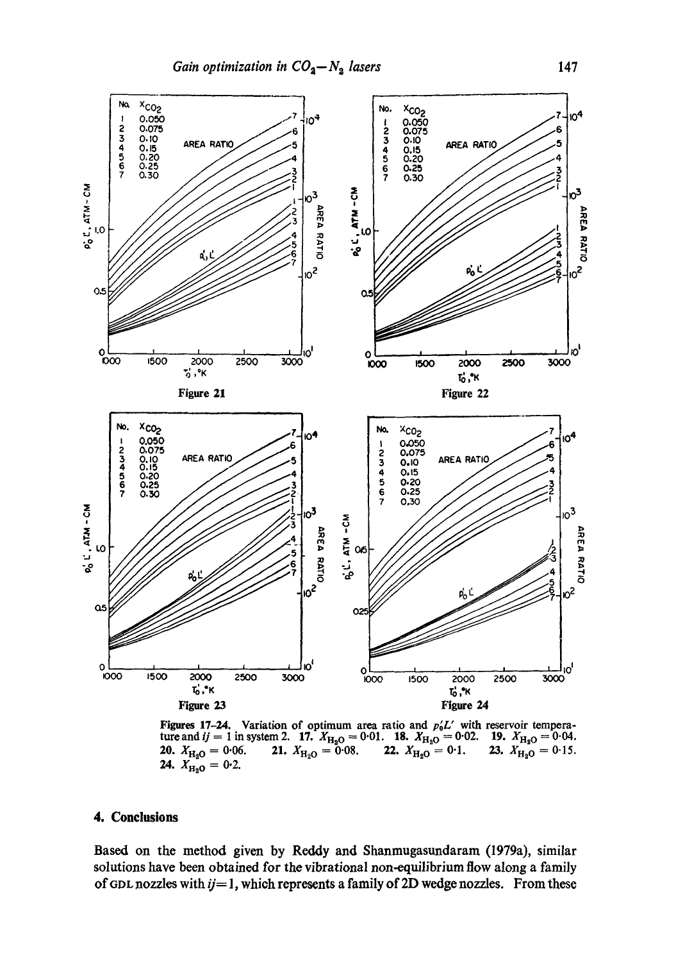

**Figures 17-24.** Variation of optimum area ratio and  $p'_0L'$  with reservoir temperature and  $ij = 1$  in system 2. 17.  $X_{\text{H}_2\text{O}} = 0.01$ . 18.  $X_{\text{H}_2\text{O}} = 0.02$ . 19.  $X_{\text{H}_2\text{O}} = 0.04$ .<br>20.  $X_{\text{H}_2\text{O}} = 0.06$ . 2 20.  $X_{\text{H}_2\text{O}} = 0.06$ .<br>24.  $X_{\text{H}_2\text{O}} = 0.2$ .

## 4. Conclusions

Based on the method given by Reddy and Shanmugasundaram (1979a), similar solutions have been obtained for the vibrational non-equilibrium flow along a family of GDL nozzles with  $ij=1$ , which represents a family of 2D wedge nozzles. From these